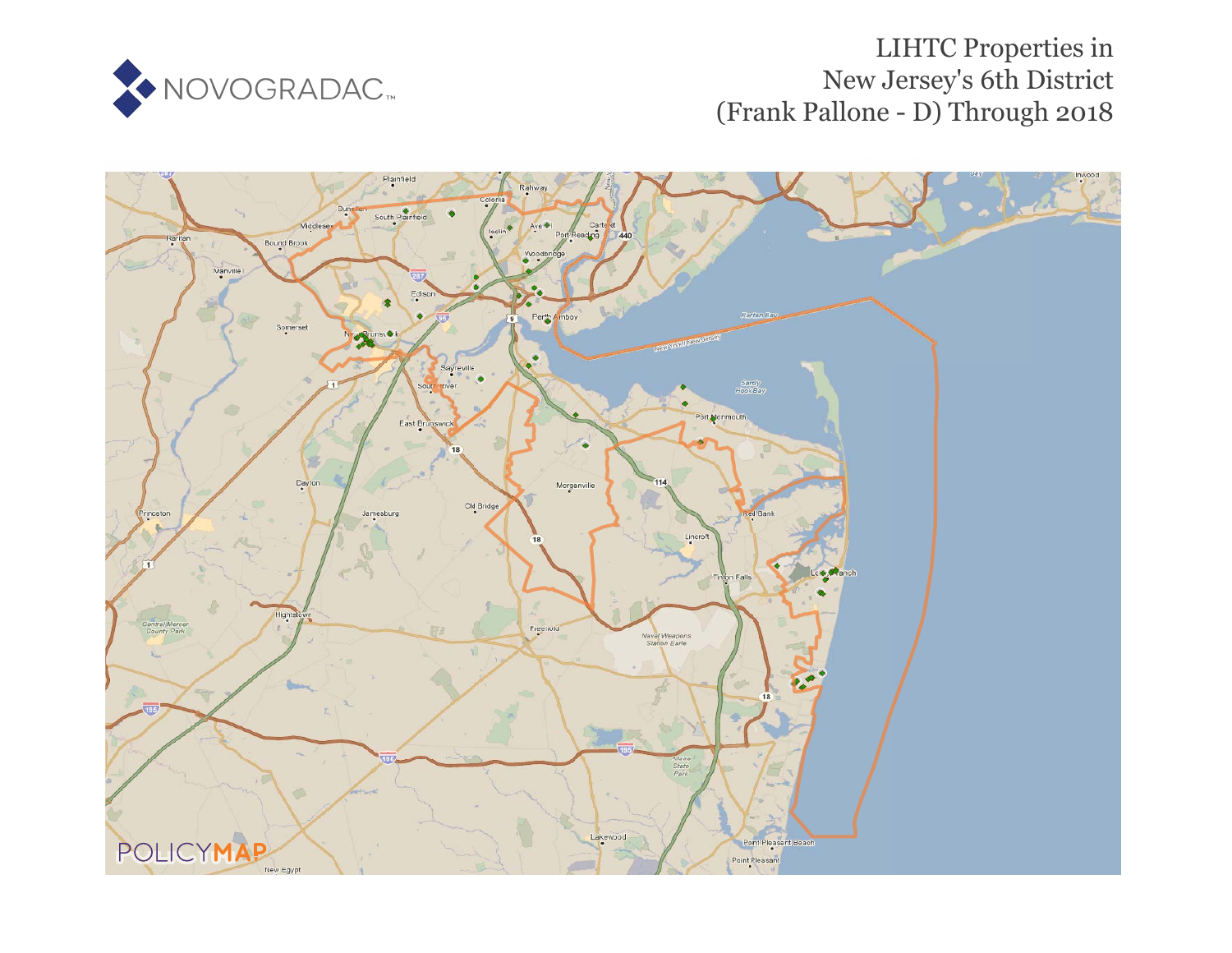

# LIHTC Properties in New Jersey's 6th District (Frank Pallone - D) Through 2018

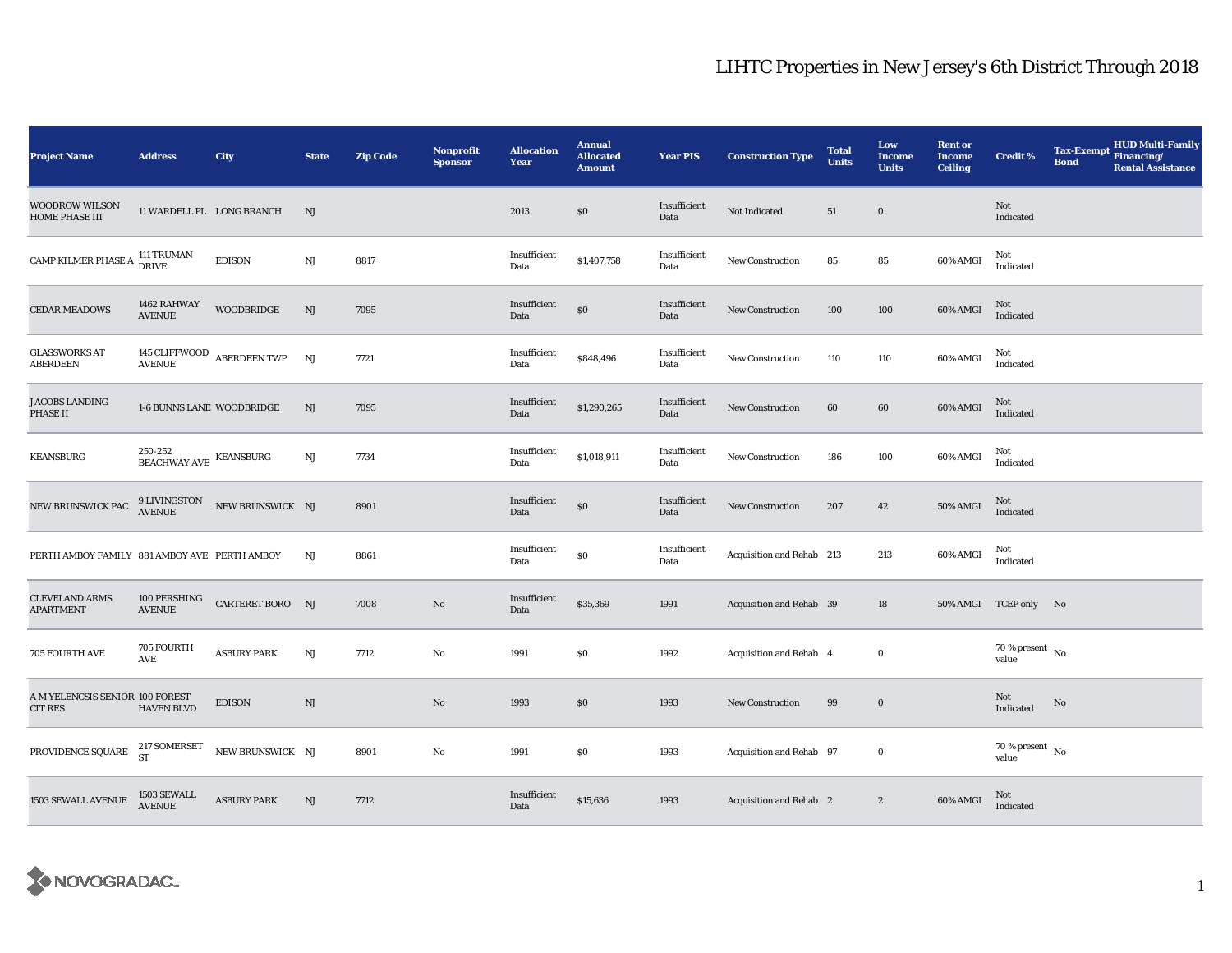| <b>Project Name</b>                               | <b>Address</b>                          | City                          | <b>State</b> | <b>Zip Code</b> | Nonprofit<br><b>Sponsor</b> | <b>Allocation</b><br><b>Year</b> | <b>Annual</b><br><b>Allocated</b><br><b>Amount</b> | <b>Year PIS</b>      | <b>Construction Type</b>  | <b>Total</b><br><b>Units</b> | Low<br>Income<br><b>Units</b> | <b>Rent or</b><br><b>Income</b><br><b>Ceiling</b> | <b>Credit %</b>                      | <b>Tax-Exempt</b><br><b>Bond</b> | HUD Multi-Family<br>Financing/<br><b>Rental Assistance</b> |
|---------------------------------------------------|-----------------------------------------|-------------------------------|--------------|-----------------|-----------------------------|----------------------------------|----------------------------------------------------|----------------------|---------------------------|------------------------------|-------------------------------|---------------------------------------------------|--------------------------------------|----------------------------------|------------------------------------------------------------|
| <b>WOODROW WILSON</b><br><b>HOME PHASE III</b>    | 11 WARDELL PL LONG BRANCH               |                               | NJ           |                 |                             | 2013                             | \$0                                                | Insufficient<br>Data | Not Indicated             | 51                           | $\bf{0}$                      |                                                   | Not<br>Indicated                     |                                  |                                                            |
| CAMP KILMER PHASE A                               | 111 TRUMAN<br>DRIVE                     | <b>EDISON</b>                 | NJ           | 8817            |                             | Insufficient<br>Data             | \$1,407,758                                        | Insufficient<br>Data | <b>New Construction</b>   | 85                           | 85                            | 60% AMGI                                          | Not<br>Indicated                     |                                  |                                                            |
| <b>CEDAR MEADOWS</b>                              | 1462 RAHWAY<br><b>AVENUE</b>            | <b>WOODBRIDGE</b>             | NJ           | 7095            |                             | Insufficient<br>Data             | $\$0$                                              | Insufficient<br>Data | New Construction          | 100                          | 100                           | 60% AMGI                                          | Not<br>Indicated                     |                                  |                                                            |
| <b>GLASSWORKS AT</b><br><b>ABERDEEN</b>           | <b>AVENUE</b>                           | 145 CLIFFWOOD ABERDEEN TWP    | NJ           | 7721            |                             | Insufficient<br>Data             | \$848,496                                          | Insufficient<br>Data | New Construction          | 110                          | 110                           | 60% AMGI                                          | Not<br>Indicated                     |                                  |                                                            |
| <b>JACOBS LANDING</b><br><b>PHASE II</b>          | 1-6 BUNNS LANE WOODBRIDGE               |                               | NJ           | 7095            |                             | Insufficient<br>Data             | \$1,290,265                                        | Insufficient<br>Data | <b>New Construction</b>   | 60                           | 60                            | 60% AMGI                                          | Not<br>Indicated                     |                                  |                                                            |
| <b>KEANSBURG</b>                                  | $250\mbox{-}252$ BEACHWAY AVE KEANSBURG |                               | NJ           | 7734            |                             | Insufficient<br>Data             | \$1,018,911                                        | Insufficient<br>Data | <b>New Construction</b>   | 186                          | 100                           | 60% AMGI                                          | Not<br>Indicated                     |                                  |                                                            |
| NEW BRUNSWICK PAC                                 |                                         | 9 LIVINGSTON NEW BRUNSWICK NJ |              | 8901            |                             | Insufficient<br>Data             | \$0                                                | Insufficient<br>Data | <b>New Construction</b>   | 207                          | 42                            | 50% AMGI                                          | Not<br>Indicated                     |                                  |                                                            |
| PERTH AMBOY FAMILY 881 AMBOY AVE PERTH AMBOY      |                                         |                               | NJ           | 8861            |                             | Insufficient<br>Data             | \$0                                                | Insufficient<br>Data | Acquisition and Rehab 213 |                              | 213                           | 60% AMGI                                          | Not<br>Indicated                     |                                  |                                                            |
| <b>CLEVELAND ARMS</b><br><b>APARTMENT</b>         | 100 PERSHING<br><b>AVENUE</b>           | CARTERET BORO NJ              |              | 7008            | $\rm No$                    | Insufficient<br>Data             | \$35,369                                           | 1991                 | Acquisition and Rehab 39  |                              | 18                            |                                                   | 50% AMGI TCEP only No                |                                  |                                                            |
| 705 FOURTH AVE                                    | 705 FOURTH<br>AVE                       | <b>ASBURY PARK</b>            | NJ           | 7712            | No                          | 1991                             | \$0                                                | 1992                 | Acquisition and Rehab 4   |                              | $\mathbf 0$                   |                                                   | 70 % present $\hbox{~No}$<br>value   |                                  |                                                            |
| A M YELENCSIS SENIOR 100 FOREST<br><b>CIT RES</b> | <b>HAVEN BLVD</b>                       | <b>EDISON</b>                 | NJ           |                 | $\mathbf{No}$               | 1993                             | $\$0$                                              | 1993                 | <b>New Construction</b>   | 99                           | $\bf{0}$                      |                                                   | Not<br>Indicated                     | No                               |                                                            |
| PROVIDENCE SQUARE $^{217}_{ST}$ SOMERSET          |                                         | NEW BRUNSWICK NJ              |              | 8901            | No                          | 1991                             | \$0                                                | 1993                 | Acquisition and Rehab 97  |                              | $\bf{0}$                      |                                                   | $70$ % present $\,$ No $\,$<br>value |                                  |                                                            |
| 1503 SEWALL AVENUE                                | 1503 SEWALL<br>AVENUE                   | <b>ASBURY PARK</b>            | NJ           | 7712            |                             | Insufficient<br>Data             | \$15,636                                           | 1993                 | Acquisition and Rehab 2   |                              | $\boldsymbol{2}$              | 60% AMGI                                          | Not<br>Indicated                     |                                  |                                                            |

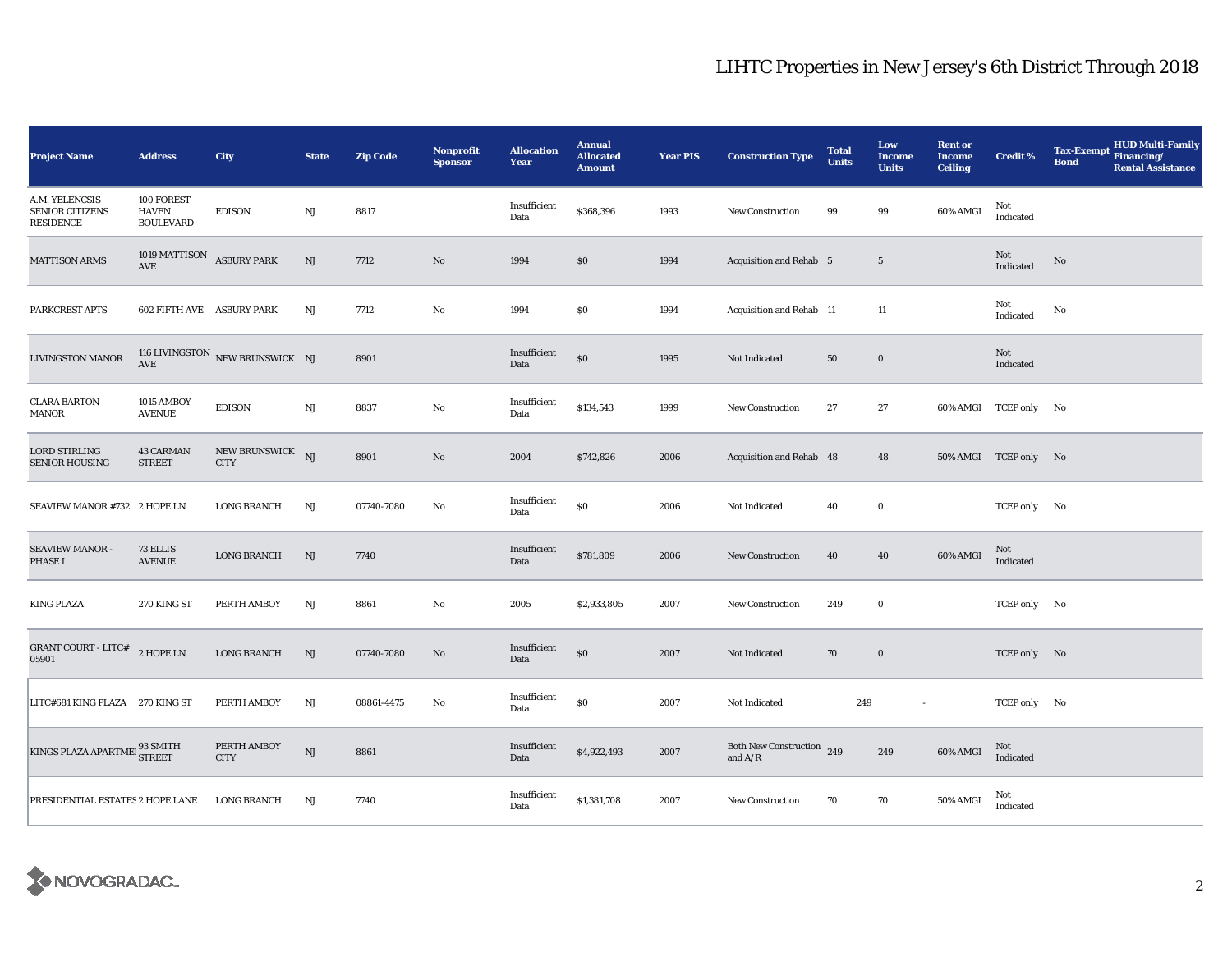| <b>Project Name</b>                                      | <b>Address</b>                                    | City                            | <b>State</b> | <b>Zip Code</b> | <b>Nonprofit</b><br><b>Sponsor</b> | <b>Allocation</b><br>Year | <b>Annual</b><br><b>Allocated</b><br><b>Amount</b> | <b>Year PIS</b> | <b>Construction Type</b>                                                           | <b>Total</b><br><b>Units</b> | Low<br><b>Income</b><br><b>Units</b> | <b>Rent or</b><br><b>Income</b><br><b>Ceiling</b> | <b>Credit %</b>       | <b>HUD Multi-Family</b><br><b>Tax-Exempt</b><br>Financing/<br><b>Bond</b><br><b>Rental Assistance</b> |
|----------------------------------------------------------|---------------------------------------------------|---------------------------------|--------------|-----------------|------------------------------------|---------------------------|----------------------------------------------------|-----------------|------------------------------------------------------------------------------------|------------------------------|--------------------------------------|---------------------------------------------------|-----------------------|-------------------------------------------------------------------------------------------------------|
| A.M. YELENCSIS<br><b>SENIOR CITIZENS</b><br>RESIDENCE    | 100 FOREST<br><b>HAVEN</b><br><b>BOULEVARD</b>    | <b>EDISON</b>                   | NJ           | 8817            |                                    | Insufficient<br>Data      | \$368,396                                          | 1993            | <b>New Construction</b>                                                            | 99                           | 99                                   | 60% AMGI                                          | Not<br>Indicated      |                                                                                                       |
| <b>MATTISON ARMS</b>                                     | 1019 MATTISON ASBURY PARK<br>$\operatorname{AVE}$ |                                 | $\rm{NJ}$    | 7712            | $\mathbf{No}$                      | 1994                      | \$0                                                | 1994            | Acquisition and Rehab 5                                                            |                              | $5\phantom{.0}$                      |                                                   | Not<br>Indicated      | $\rm No$                                                                                              |
| PARKCREST APTS                                           | 602 FIFTH AVE ASBURY PARK                         |                                 | NJ           | 7712            | No                                 | 1994                      | \$0                                                | 1994            | Acquisition and Rehab 11                                                           |                              | 11                                   |                                                   | Not<br>Indicated      | No                                                                                                    |
| <b>LIVINGSTON MANOR</b>                                  | AVE                                               | 116 LIVINGSTON NEW BRUNSWICK NJ |              | 8901            |                                    | Insufficient<br>Data      | \$0                                                | 1995            | Not Indicated                                                                      | 50                           | $\bf{0}$                             |                                                   | Not<br>Indicated      |                                                                                                       |
| <b>CLARA BARTON</b><br>MANOR                             | 1015 AMBOY<br><b>AVENUE</b>                       | <b>EDISON</b>                   | $\rm{NJ}$    | 8837            | No                                 | Insufficient<br>Data      | \$134,543                                          | 1999            | <b>New Construction</b>                                                            | 27                           | 27                                   | 60% AMGI                                          | TCEP only No          |                                                                                                       |
| <b>LORD STIRLING</b><br><b>SENIOR HOUSING</b>            | <b>43 CARMAN</b><br><b>STREET</b>                 | NEW BRUNSWICK NJ<br><b>CITY</b> |              | 8901            | $\rm No$                           | 2004                      | \$742,826                                          | 2006            | Acquisition and Rehab 48                                                           |                              | 48                                   |                                                   | 50% AMGI TCEP only No |                                                                                                       |
| SEAVIEW MANOR #732 2 HOPE LN                             |                                                   | <b>LONG BRANCH</b>              | $_{\rm NJ}$  | 07740-7080      | No                                 | Insufficient<br>Data      | $\$0$                                              | 2006            | Not Indicated                                                                      | 40                           | $\mathbf 0$                          |                                                   | TCEP only No          |                                                                                                       |
| SEAVIEW MANOR -<br><b>PHASE I</b>                        | 73 ELLIS<br><b>AVENUE</b>                         | <b>LONG BRANCH</b>              | NJ           | 7740            |                                    | Insufficient<br>Data      | \$781,809                                          | 2006            | <b>New Construction</b>                                                            | 40                           | 40                                   | 60% AMGI                                          | Not<br>Indicated      |                                                                                                       |
| <b>KING PLAZA</b>                                        | 270 KING ST                                       | PERTH AMBOY                     | NJ           | 8861            | No                                 | 2005                      | \$2,933,805                                        | 2007            | New Construction                                                                   | 249                          | $\bf{0}$                             |                                                   | TCEP only No          |                                                                                                       |
| <b>GRANT COURT - LITC#</b><br>05901                      | $2$ HOPE LN                                       | <b>LONG BRANCH</b>              | NJ           | 07740-7080      | No                                 | Insufficient<br>Data      | $\$0$                                              | 2007            | Not Indicated                                                                      | 70                           | $\bf{0}$                             |                                                   | TCEP only No          |                                                                                                       |
| LITC#681 KING PLAZA 270 KING ST                          |                                                   | PERTH AMBOY                     | $_{\rm NJ}$  | 08861-4475      | No                                 | Insufficient<br>Data      | $\$0$                                              | 2007            | Not Indicated                                                                      | 249                          | $\sim$                               |                                                   | TCEP only No          |                                                                                                       |
| $\rm KINGS\; PLAZA\; APARTME\; \frac{93\;SMITH}{STREET}$ |                                                   | PERTH AMBOY<br><b>CITY</b>      | $\rm{NJ}$    | 8861            |                                    | Insufficient<br>Data      | \$4,922,493                                        | 2007            | Both New Construction 249<br>and $\ensuremath{\mathrm{A}}/\ensuremath{\mathrm{R}}$ |                              | 249                                  | 60% AMGI                                          | Not<br>Indicated      |                                                                                                       |
| PRESIDENTIAL ESTATES 2 HOPE LANE                         |                                                   | <b>LONG BRANCH</b>              | NJ           | 7740            |                                    | Insufficient<br>Data      | \$1,381,708                                        | 2007            | New Construction                                                                   | 70                           | 70                                   | 50% AMGI                                          | Not<br>Indicated      |                                                                                                       |

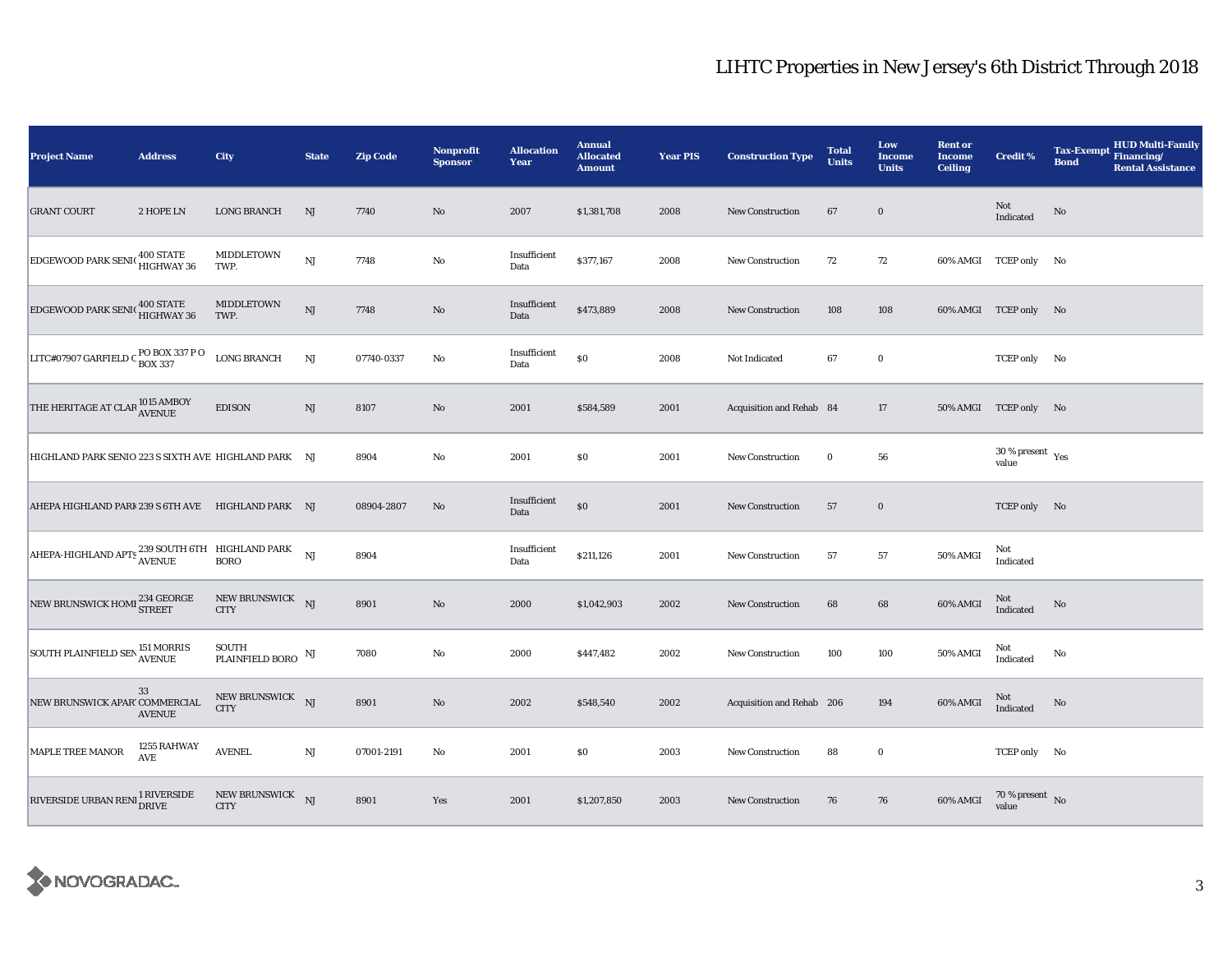| <b>Project Name</b>                                                                                                                 | <b>Address</b>                      | City                             | <b>State</b> | <b>Zip Code</b> | <b>Nonprofit</b><br><b>Sponsor</b> | <b>Allocation</b><br>Year | <b>Annual</b><br><b>Allocated</b><br><b>Amount</b> | <b>Year PIS</b> | <b>Construction Type</b>  | <b>Total</b><br><b>Units</b> | Low<br><b>Income</b><br><b>Units</b> | <b>Rent or</b><br><b>Income</b><br><b>Ceiling</b> | <b>Credit %</b>                              | <b>HUD Multi-Family</b><br><b>Tax-Exempt</b><br>Financing/<br><b>Bond</b><br><b>Rental Assistance</b> |
|-------------------------------------------------------------------------------------------------------------------------------------|-------------------------------------|----------------------------------|--------------|-----------------|------------------------------------|---------------------------|----------------------------------------------------|-----------------|---------------------------|------------------------------|--------------------------------------|---------------------------------------------------|----------------------------------------------|-------------------------------------------------------------------------------------------------------|
| <b>GRANT COURT</b>                                                                                                                  | 2 HOPE LN                           | <b>LONG BRANCH</b>               | NJ           | 7740            | $\mathbf{N}\mathbf{o}$             | 2007                      | \$1,381,708                                        | 2008            | New Construction          | 67                           | $\bf{0}$                             |                                                   | Not<br>Indicated                             | No                                                                                                    |
| <b>EDGEWOOD PARK SENI(400 STATE</b>                                                                                                 |                                     | MIDDLETOWN<br>TWP.               | NJ           | 7748            | $\rm No$                           | Insufficient<br>Data      | \$377,167                                          | 2008            | <b>New Construction</b>   | 72                           | 72                                   |                                                   | 60% AMGI TCEP only No                        |                                                                                                       |
| <b>EDGEWOOD PARK SENICED HIGHWAY 36</b>                                                                                             |                                     | MIDDLETOWN<br>TWP.               | NJ           | 7748            | $\rm No$                           | Insufficient<br>Data      | \$473,889                                          | 2008            | <b>New Construction</b>   | 108                          | 108                                  |                                                   | 60% AMGI TCEP only No                        |                                                                                                       |
| LITC#07907 GARFIELD C $_{\rm{BOX~337}}^{\rm{PO~BOX~337~P~O}}$                                                                       |                                     | <b>LONG BRANCH</b>               | NJ           | 07740-0337      | No                                 | Insufficient<br>Data      | $\$0$                                              | 2008            | Not Indicated             | 67                           | $\bf{0}$                             |                                                   | TCEP only No                                 |                                                                                                       |
| THE HERITAGE AT CLAR 1015 AMBOY                                                                                                     |                                     | <b>EDISON</b>                    | NJ           | 8107            | No                                 | 2001                      | \$584,589                                          | 2001            | Acquisition and Rehab 84  |                              | 17                                   |                                                   | 50% AMGI TCEP only No                        |                                                                                                       |
| HIGHLAND PARK SENIO 223 S SIXTH AVE HIGHLAND PARK NJ                                                                                |                                     |                                  |              | 8904            | No                                 | 2001                      | S <sub>0</sub>                                     | 2001            | New Construction          | $\bf{0}$                     | 56                                   |                                                   | $30$ % present $\rm\thinspace\,Yes$<br>value |                                                                                                       |
| AHEPA HIGHLAND PARI 239 S 6TH AVE HIGHLAND PARK NJ                                                                                  |                                     |                                  |              | 08904-2807      | No                                 | Insufficient<br>Data      | $\$0$                                              | 2001            | New Construction          | 57                           | $\bf{0}$                             |                                                   | TCEP only No                                 |                                                                                                       |
| $\begin{tabular}{ l l } \hline \textbf{AHEPA-HIGHLAND APTS } \textbf{239 SOLUTION BORD PARK} & \textbf{NJ} \\ \hline \end{tabular}$ |                                     |                                  |              | 8904            |                                    | Insufficient<br>Data      | \$211,126                                          | 2001            | New Construction          | 57                           | 57                                   | 50% AMGI                                          | Not<br>Indicated                             |                                                                                                       |
| NEW BRUNSWICK HOMI 234 GEORGE                                                                                                       |                                     | NEW BRUNSWICK NJ<br><b>CITY</b>  |              | 8901            | $\mathbf{N}\mathbf{o}$             | 2000                      | \$1,042,903                                        | 2002            | <b>New Construction</b>   | 68                           | 68                                   | 60% AMGI                                          | Not<br>Indicated                             | No                                                                                                    |
| SOUTH PLAINFIELD SEN 151 MORRIS                                                                                                     |                                     | SOUTH<br>PLAINFIELD BORO $\,$ NJ |              | 7080            | No                                 | 2000                      | \$447,482                                          | 2002            | <b>New Construction</b>   | 100                          | 100                                  | <b>50% AMGI</b>                                   | Not<br>Indicated                             | No                                                                                                    |
| NEW BRUNSWICK APAR' COMMERCIAL                                                                                                      | 33<br><b>AVENUE</b>                 | NEW BRUNSWICK NJ<br><b>CITY</b>  |              | 8901            | $\mathbf{N}\mathbf{o}$             | 2002                      | \$548,540                                          | 2002            | Acquisition and Rehab 206 |                              | 194                                  | 60% AMGI                                          | Not<br>Indicated                             | No                                                                                                    |
| MAPLE TREE MANOR                                                                                                                    | 1255 RAHWAY<br>$\operatorname{AVE}$ | <b>AVENEL</b>                    | $_{\rm NJ}$  | 07001-2191      | No                                 | 2001                      | \$0                                                | 2003            | <b>New Construction</b>   | 88                           | $\bf{0}$                             |                                                   | TCEP only No                                 |                                                                                                       |
| RIVERSIDE URBAN RENI                                                                                                                | 1 RIVERSIDE<br><b>DRIVE</b>         | NEW BRUNSWICK NJ<br><b>CITY</b>  |              | 8901            | Yes                                | 2001                      | \$1,207,850                                        | 2003            | New Construction          | 76                           | 76                                   | 60% AMGI                                          | 70 % present $\,$ No $\,$<br>value           |                                                                                                       |

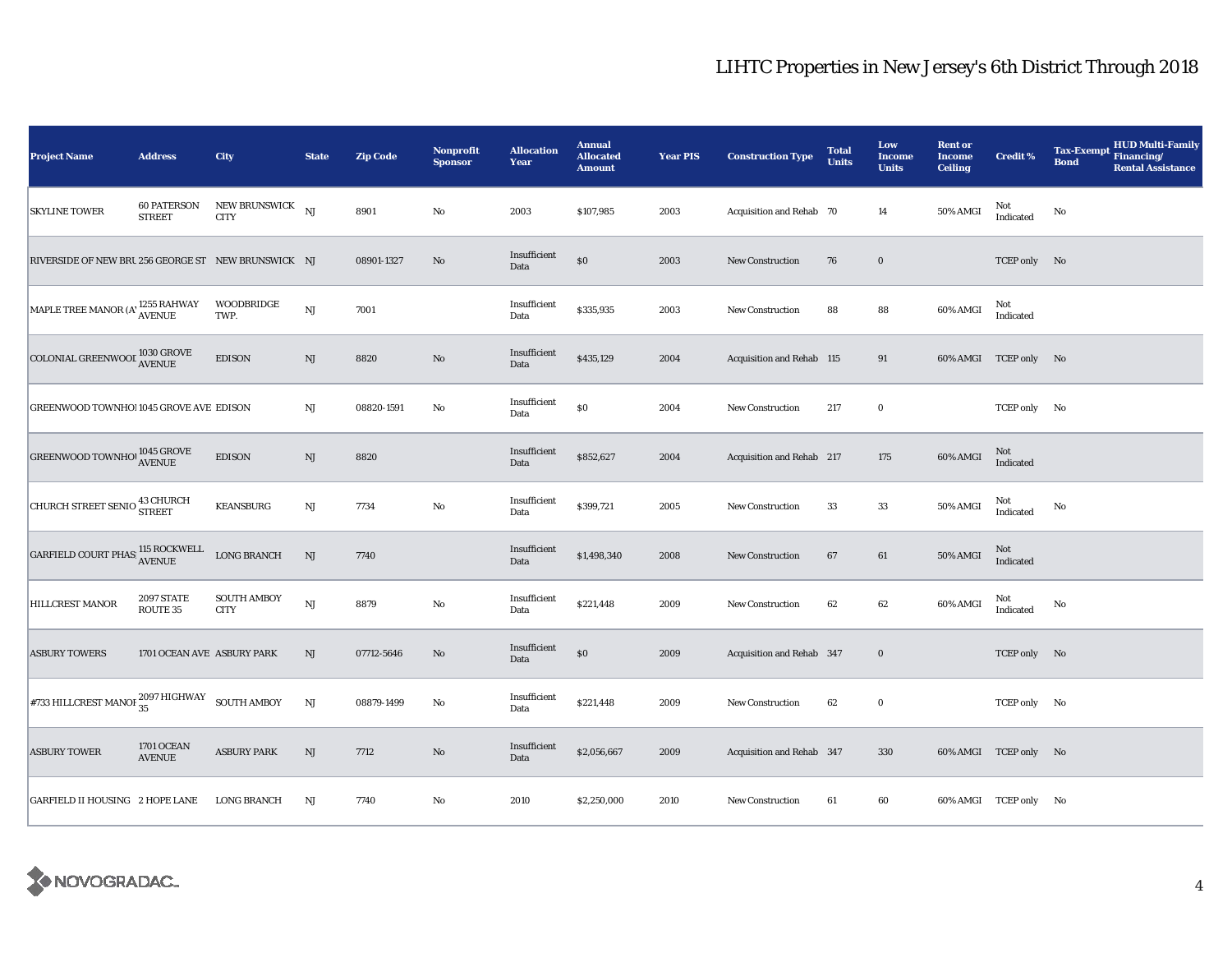| <b>Project Name</b>                                                                                       | <b>Address</b>                      | <b>City</b>                       | <b>State</b> | <b>Zip Code</b> | Nonprofit<br><b>Sponsor</b> | <b>Allocation</b><br>Year | <b>Annual</b><br><b>Allocated</b><br><b>Amount</b> | <b>Year PIS</b> | <b>Construction Type</b>  | <b>Total</b><br><b>Units</b> | Low<br><b>Income</b><br><b>Units</b> | <b>Rent or</b><br><b>Income</b><br><b>Ceiling</b> | <b>Credit %</b>       | <b>HUD Multi-Family</b><br><b>Tax-Exempt</b><br>Financing/<br><b>Bond</b><br><b>Rental Assistance</b> |
|-----------------------------------------------------------------------------------------------------------|-------------------------------------|-----------------------------------|--------------|-----------------|-----------------------------|---------------------------|----------------------------------------------------|-----------------|---------------------------|------------------------------|--------------------------------------|---------------------------------------------------|-----------------------|-------------------------------------------------------------------------------------------------------|
| <b>SKYLINE TOWER</b>                                                                                      | <b>60 PATERSON</b><br><b>STREET</b> | NEW BRUNSWICK NJ<br><b>CITY</b>   |              | 8901            | $\rm No$                    | 2003                      | \$107,985                                          | 2003            | Acquisition and Rehab 70  |                              | 14                                   | 50% AMGI                                          | Not<br>Indicated      | No                                                                                                    |
| RIVERSIDE OF NEW BRU 256 GEORGE ST NEW BRUNSWICK NJ                                                       |                                     |                                   |              | 08901-1327      | No                          | Insufficient<br>Data      | $\$0$                                              | 2003            | <b>New Construction</b>   | 76                           | $\bf{0}$                             |                                                   | TCEP only No          |                                                                                                       |
| MAPLE TREE MANOR (A' 1255 RAHWAY                                                                          |                                     | WOODBRIDGE<br>TWP.                | NJ           | 7001            |                             | Insufficient<br>Data      | \$335,935                                          | 2003            | New Construction          | 88                           | 88                                   | 60% AMGI                                          | Not<br>Indicated      |                                                                                                       |
| COLONIAL GREENWOOL 1030 GROVE                                                                             |                                     | <b>EDISON</b>                     | $\rm{NJ}$    | 8820            | $\rm No$                    | Insufficient<br>Data      | \$435,129                                          | 2004            | Acquisition and Rehab 115 |                              | 91                                   |                                                   | 60% AMGI TCEP only No |                                                                                                       |
| GREENWOOD TOWNHO! 1045 GROVE AVE EDISON                                                                   |                                     |                                   | NJ           | 08820-1591      | No                          | Insufficient<br>Data      | \$0                                                | 2004            | New Construction          | 217                          | $\bf{0}$                             |                                                   | TCEP only No          |                                                                                                       |
| $\begin{array}{lll} \text{GREENWOOD TOWNHO} & \text{1045 GROVE} \\ \text{AVENUE} & \end{array}$           |                                     | <b>EDISON</b>                     | NJ           | 8820            |                             | Insufficient<br>Data      | \$852,627                                          | 2004            | Acquisition and Rehab 217 |                              | 175                                  | 60% AMGI                                          | Not<br>Indicated      |                                                                                                       |
| CHURCH STREET SENIO 43 CHURCH                                                                             |                                     | <b>KEANSBURG</b>                  | $\rm{NJ}$    | 7734            | No                          | Insufficient<br>Data      | \$399,721                                          | 2005            | <b>New Construction</b>   | 33                           | 33                                   | 50% AMGI                                          | Not<br>Indicated      | No                                                                                                    |
| $\begin{array}{ l } \textbf{GARFIELD COURT PHAS}\stackrel{\textbf{115}}{~~\textbf{AVENUE}}\\ \end{array}$ |                                     | <b>LONG BRANCH</b>                | $_{\rm NJ}$  | 7740            |                             | Insufficient<br>Data      | \$1,498,340                                        | 2008            | <b>New Construction</b>   | 67                           | 61                                   | 50% AMGI                                          | Not<br>Indicated      |                                                                                                       |
| HILLCREST MANOR                                                                                           | <b>2097 STATE</b><br>ROUTE 35       | <b>SOUTH AMBOY</b><br><b>CITY</b> | NJ           | 8879            | No                          | Insufficient<br>Data      | \$221,448                                          | 2009            | New Construction          | 62                           | 62                                   | 60% AMGI                                          | Not<br>Indicated      | No                                                                                                    |
| <b>ASBURY TOWERS</b>                                                                                      | 1701 OCEAN AVE ASBURY PARK          |                                   | NJ           | 07712-5646      | $\mathbf{N}\mathbf{o}$      | Insufficient<br>Data      | \$0                                                | 2009            | Acquisition and Rehab 347 |                              | $\bf{0}$                             |                                                   | TCEP only No          |                                                                                                       |
| #733 HILLCREST MANOF $^{2097}_{35}$ HIGHWAY SOUTH AMBOY                                                   |                                     |                                   | <b>NJ</b>    | 08879-1499      | No                          | Insufficient<br>Data      | \$221,448                                          | 2009            | New Construction          | 62                           | $\bf{0}$                             |                                                   | TCEP only No          |                                                                                                       |
| <b>ASBURY TOWER</b>                                                                                       | <b>1701 OCEAN</b><br><b>AVENUE</b>  | <b>ASBURY PARK</b>                | $\rm{NJ}$    | 7712            | $\rm No$                    | Insufficient<br>Data      | \$2,056,667                                        | 2009            | Acquisition and Rehab 347 |                              | 330                                  |                                                   | 60% AMGI TCEP only No |                                                                                                       |
| GARFIELD II HOUSING 2 HOPE LANE                                                                           |                                     | <b>LONG BRANCH</b>                | NJ           | 7740            | No                          | 2010                      | \$2,250,000                                        | 2010            | New Construction          | 61                           | 60                                   |                                                   | 60% AMGI TCEP only No |                                                                                                       |

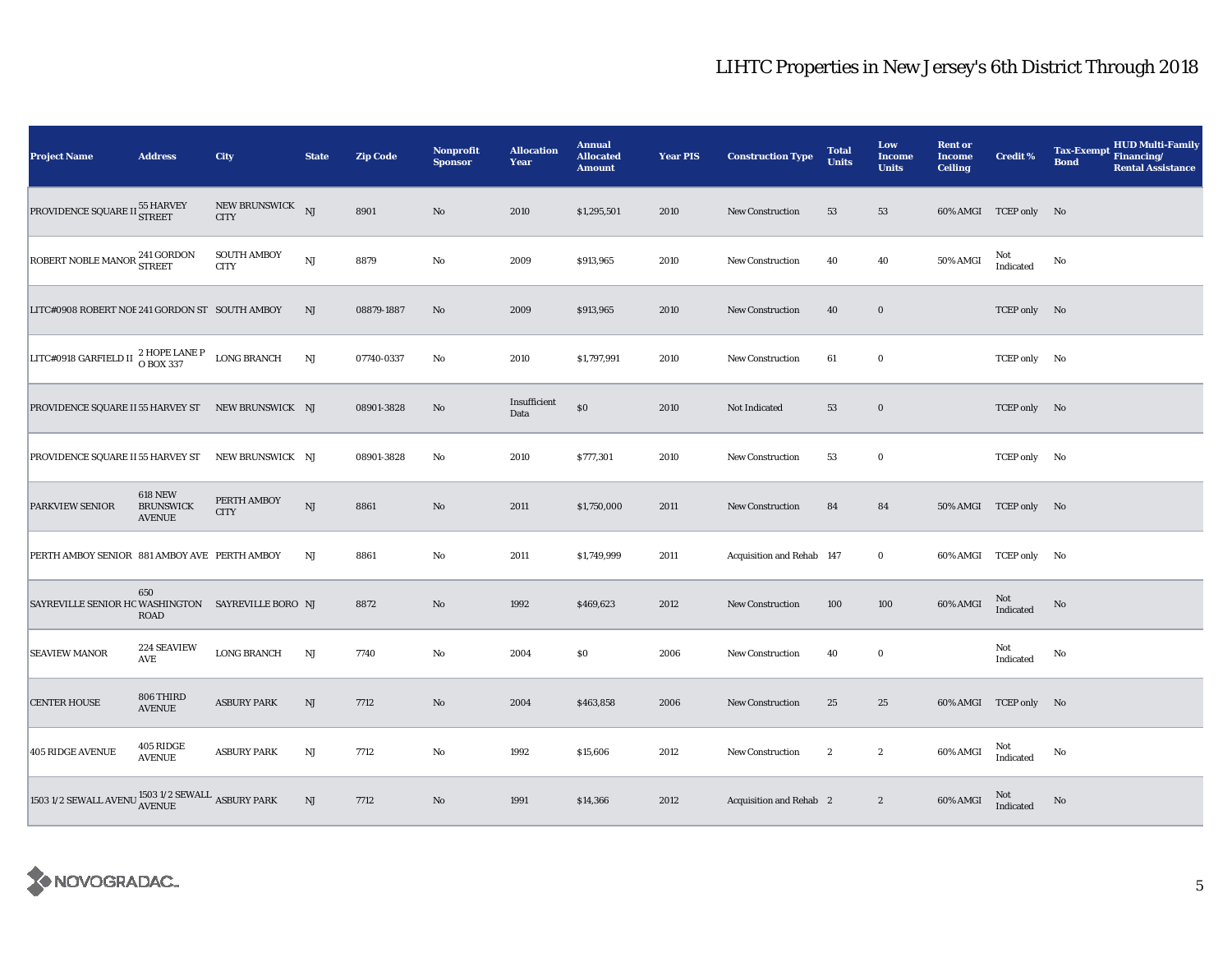| <b>Project Name</b>                                                                  | <b>Address</b>                                      | City                              | <b>State</b> | <b>Zip Code</b> | <b>Nonprofit</b><br><b>Sponsor</b> | <b>Allocation</b><br>Year | <b>Annual</b><br><b>Allocated</b><br><b>Amount</b> | <b>Year PIS</b> | <b>Construction Type</b>  | <b>Total</b><br><b>Units</b> | Low<br>Income<br><b>Units</b> | <b>Rent or</b><br><b>Income</b><br><b>Ceiling</b> | <b>Credit %</b>       | <b>HUD Multi-Family</b><br><b>Tax-Exempt</b><br>Financing/<br><b>Bond</b><br><b>Rental Assistance</b> |
|--------------------------------------------------------------------------------------|-----------------------------------------------------|-----------------------------------|--------------|-----------------|------------------------------------|---------------------------|----------------------------------------------------|-----------------|---------------------------|------------------------------|-------------------------------|---------------------------------------------------|-----------------------|-------------------------------------------------------------------------------------------------------|
| PROVIDENCE SQUARE II 55 HARVEY                                                       |                                                     | NEW BRUNSWICK NJ<br><b>CITY</b>   |              | 8901            | No                                 | 2010                      | \$1,295,501                                        | 2010            | <b>New Construction</b>   | 53                           | 53                            |                                                   | 60% AMGI TCEP only No |                                                                                                       |
| ROBERT NOBLE MANOR <sup>241</sup> GORDON<br>STREET                                   |                                                     | <b>SOUTH AMBOY</b><br><b>CITY</b> | NJ           | 8879            | $\rm No$                           | 2009                      | \$913,965                                          | 2010            | <b>New Construction</b>   | 40                           | 40                            | 50% AMGI                                          | Not<br>Indicated      | No                                                                                                    |
| LITC#0908 ROBERT NOE 241 GORDON ST SOUTH AMBOY                                       |                                                     |                                   | NJ           | 08879-1887      | No                                 | 2009                      | \$913,965                                          | 2010            | <b>New Construction</b>   | 40                           | $\bf{0}$                      |                                                   | TCEP only No          |                                                                                                       |
| LITC#0918 GARFIELD II $\frac{2 \text{ HOPE LANE P}}{O \text{ BOX } 337}$ LONG BRANCH |                                                     |                                   | NJ           | 07740-0337      | No                                 | 2010                      | \$1,797,991                                        | 2010            | New Construction          | 61                           | $\bf{0}$                      |                                                   | TCEP only No          |                                                                                                       |
| PROVIDENCE SQUARE II 55 HARVEY ST NEW BRUNSWICK NJ                                   |                                                     |                                   |              | 08901-3828      | No                                 | Insufficient<br>Data      | $\$0$                                              | 2010            | Not Indicated             | 53                           | $\mathbf 0$                   |                                                   | TCEP only No          |                                                                                                       |
| PROVIDENCE SQUARE II 55 HARVEY ST NEW BRUNSWICK NJ                                   |                                                     |                                   |              | 08901-3828      | $\rm No$                           | 2010                      | \$777,301                                          | 2010            | <b>New Construction</b>   | 53                           | $\bf{0}$                      |                                                   | TCEP only No          |                                                                                                       |
| <b>PARKVIEW SENIOR</b>                                                               | <b>618 NEW</b><br><b>BRUNSWICK</b><br><b>AVENUE</b> | PERTH AMBOY<br><b>CITY</b>        | NJ           | 8861            | No                                 | 2011                      | \$1,750,000                                        | 2011            | <b>New Construction</b>   | 84                           | 84                            |                                                   | 50% AMGI TCEP only No |                                                                                                       |
| PERTH AMBOY SENIOR 881 AMBOY AVE PERTH AMBOY                                         |                                                     |                                   | NJ           | 8861            | No                                 | 2011                      | \$1,749,999                                        | 2011            | Acquisition and Rehab 147 |                              | $\bf{0}$                      |                                                   | 60% AMGI TCEP only No |                                                                                                       |
| SAYREVILLE SENIOR HC WASHINGTON SAYREVILLE BORO NJ                                   | 650<br>ROAD                                         |                                   |              | 8872            | No                                 | 1992                      | \$469,623                                          | 2012            | <b>New Construction</b>   | 100                          | 100                           | 60% AMGI                                          | Not<br>Indicated      | No                                                                                                    |
| <b>SEAVIEW MANOR</b>                                                                 | 224 SEAVIEW<br>AVE                                  | <b>LONG BRANCH</b>                | NJ           | 7740            | $\rm No$                           | 2004                      | \$0\$                                              | 2006            | New Construction          | 40                           | $\bf{0}$                      |                                                   | Not<br>Indicated      | $\mathbf{No}$                                                                                         |
| <b>CENTER HOUSE</b>                                                                  | 806 THIRD<br><b>AVENUE</b>                          | <b>ASBURY PARK</b>                | NJ           | 7712            | No                                 | 2004                      | \$463,858                                          | 2006            | <b>New Construction</b>   | 25                           | 25                            |                                                   | 60% AMGI TCEP only No |                                                                                                       |
| <b>405 RIDGE AVENUE</b>                                                              | 405 RIDGE<br><b>AVENUE</b>                          | <b>ASBURY PARK</b>                | $\rm{NJ}$    | 7712            | No                                 | 1992                      | \$15,606                                           | 2012            | New Construction          | $\boldsymbol{2}$             | $\boldsymbol{2}$              | 60% AMGI                                          | Not<br>Indicated      | No                                                                                                    |
| 1503 1/2 SEWALL AVENU ${\rm _{AVENUE}^{1503\ 1/2}}$ SEWALL ${\rm _{ASBURY}}$ PARK    |                                                     |                                   | NJ           | 7712            | No                                 | 1991                      | \$14,366                                           | 2012            | Acquisition and Rehab 2   |                              | $\boldsymbol{2}$              | 60% AMGI                                          | Not<br>Indicated      | No                                                                                                    |

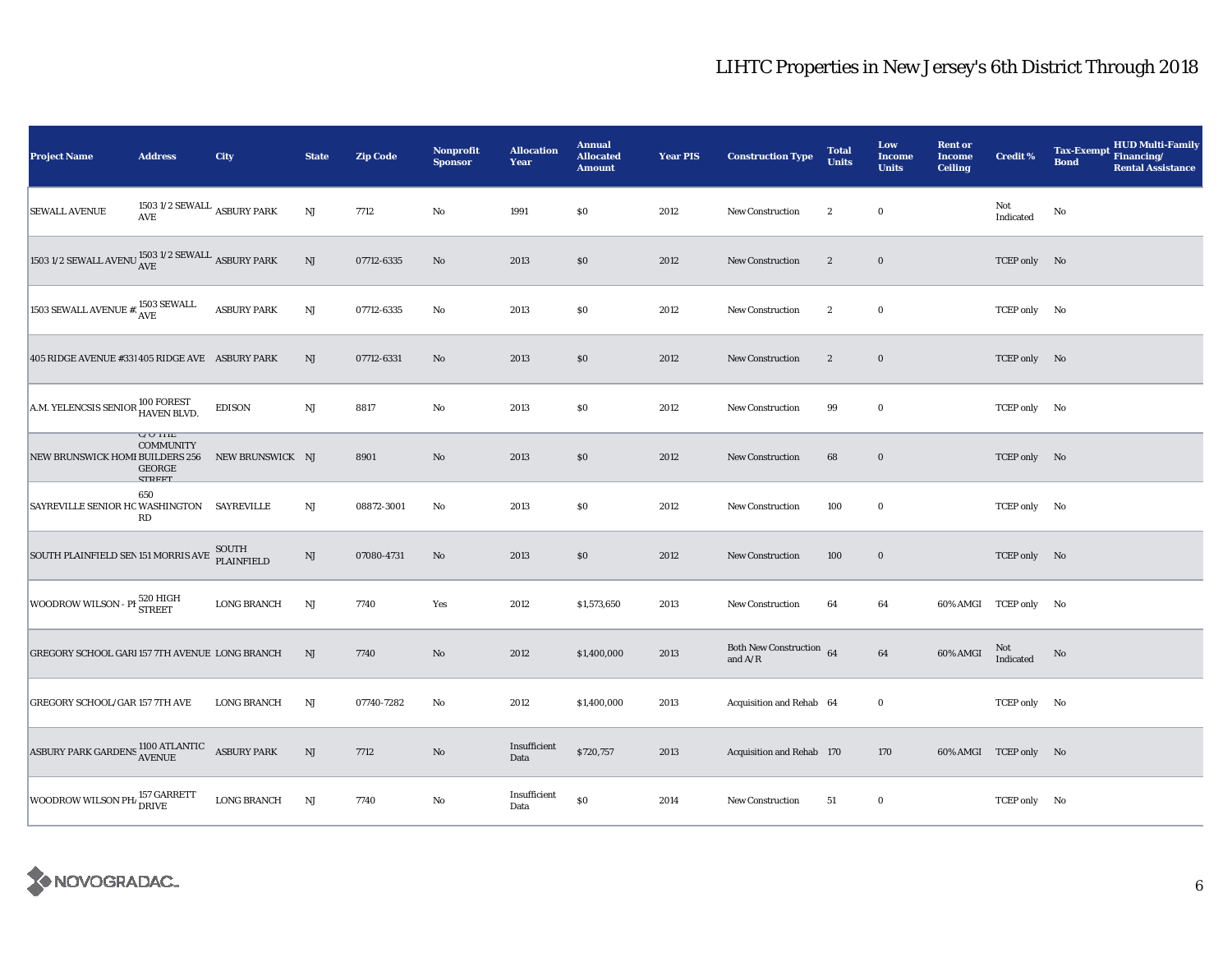| <b>Project Name</b>                                                                                               | <b>Address</b>                                                       | City                | <b>State</b>           | <b>Zip Code</b> | <b>Nonprofit</b><br><b>Sponsor</b> | <b>Allocation</b><br>Year | <b>Annual</b><br><b>Allocated</b><br><b>Amount</b> | <b>Year PIS</b> | <b>Construction Type</b>              | <b>Total</b><br><b>Units</b> | Low<br><b>Income</b><br><b>Units</b> | <b>Rent or</b><br><b>Income</b><br><b>Ceiling</b> | <b>Credit %</b>       | <b>HUD Multi-Family</b><br>Tax-Exempt Financing/<br><b>Bond</b><br><b>Rental Assistance</b> |
|-------------------------------------------------------------------------------------------------------------------|----------------------------------------------------------------------|---------------------|------------------------|-----------------|------------------------------------|---------------------------|----------------------------------------------------|-----------------|---------------------------------------|------------------------------|--------------------------------------|---------------------------------------------------|-----------------------|---------------------------------------------------------------------------------------------|
| <b>SEWALL AVENUE</b>                                                                                              | 1503 1/2 SEWALL $\,$ ASBURY PARK<br>AVE                              |                     | $\mathbf{N}\mathbf{J}$ | 7712            | No                                 | 1991                      | \$0\$                                              | 2012            | <b>New Construction</b>               | $\boldsymbol{2}$             | $\bf{0}$                             |                                                   | Not<br>Indicated      | No                                                                                          |
| 1503 1/2 SEWALL AVENU $\frac{\text{1503 1/2} }{\text{AVE}}$ ASBURY PARK                                           |                                                                      |                     | $\rm{NJ}$              | 07712-6335      | No                                 | 2013                      | \$0                                                | 2012            | <b>New Construction</b>               | $\boldsymbol{2}$             | $\mathbf 0$                          |                                                   | TCEP only No          |                                                                                             |
| 1503 SEWALL AVENUE #: $1503$ SEWALL                                                                               |                                                                      | <b>ASBURY PARK</b>  | $\rm{NJ}$              | 07712-6335      | No                                 | 2013                      | $\$0$                                              | 2012            | New Construction                      | $\boldsymbol{2}$             | $\bf{0}$                             |                                                   | TCEP only No          |                                                                                             |
| 405 RIDGE AVENUE #331 405 RIDGE AVE ASBURY PARK                                                                   |                                                                      |                     | NJ                     | 07712-6331      | No                                 | 2013                      | \$0                                                | 2012            | <b>New Construction</b>               | $\boldsymbol{2}$             | $\bf{0}$                             |                                                   | TCEP only No          |                                                                                             |
| A.M. YELENCSIS SENIOR 100 FOREST<br>HAVEN BLVD.                                                                   |                                                                      | <b>EDISON</b>       | $\mathbf{N}\mathbf{J}$ | 8817            | No                                 | 2013                      | \$0                                                | 2012            | <b>New Construction</b>               | 99                           | $\bf{0}$                             |                                                   | TCEP only No          |                                                                                             |
| NEW BRUNSWICK HOMI BUILDERS 256                                                                                   | <b>U/U INE</b><br><b>COMMUNITY</b><br><b>GEORGE</b><br><b>CTDEET</b> | NEW BRUNSWICK NJ    |                        | 8901            | $\mathbf{N}\mathbf{o}$             | 2013                      | \$0                                                | 2012            | New Construction                      | 68                           | $\mathbf 0$                          |                                                   | TCEP only No          |                                                                                             |
| SAYREVILLE SENIOR HC WASHINGTON SAYREVILLE                                                                        | 650<br>RD                                                            |                     | $_{\rm NJ}$            | 08872-3001      | No                                 | 2013                      | \$0                                                | 2012            | New Construction                      | 100                          | $\bf{0}$                             |                                                   | TCEP only No          |                                                                                             |
| SOUTH PLAINFIELD SEN 151 MORRIS AVE                                                                               |                                                                      | SOUTH<br>PLAINFIELD | $\mathbf{N}\mathbf{J}$ | 07080-4731      | $\mathbf{N}\mathbf{o}$             | 2013                      | \$0                                                | 2012            | New Construction                      | 100                          | $\mathbf 0$                          |                                                   | TCEP only No          |                                                                                             |
| WOODROW WILSON - PH 520 HIGH                                                                                      |                                                                      | <b>LONG BRANCH</b>  | NJ                     | 7740            | Yes                                | 2012                      | \$1,573,650                                        | 2013            | <b>New Construction</b>               | 64                           | 64                                   |                                                   | 60% AMGI TCEP only No |                                                                                             |
| GREGORY SCHOOL GARI 157 7TH AVENUE LONG BRANCH                                                                    |                                                                      |                     | NJ                     | 7740            | No                                 | 2012                      | \$1,400,000                                        | 2013            | Both New Construction 64<br>and $A/R$ |                              | 64                                   | 60% AMGI                                          | Not<br>Indicated      | No                                                                                          |
| GREGORY SCHOOL/GAR 157 7TH AVE                                                                                    |                                                                      | <b>LONG BRANCH</b>  | NJ                     | 07740-7282      | No                                 | 2012                      | \$1,400,000                                        | 2013            | Acquisition and Rehab 64              |                              | $\bf{0}$                             |                                                   | TCEP only No          |                                                                                             |
| ${\large\bf ASBURY}~{\large\bf PARK}~{\large\bf GARDENS}~{\large\bf AVENUE}~~{\large\bf ASBURY}~{\large\bf PARK}$ |                                                                      |                     | $\rm{NJ}$              | 7712            | No                                 | Insufficient<br>Data      | \$720,757                                          | 2013            | Acquisition and Rehab 170             |                              | 170                                  |                                                   | 60% AMGI TCEP only No |                                                                                             |
| WOODROW WILSON PH <sub>1</sub> 157 GARRETT                                                                        |                                                                      | <b>LONG BRANCH</b>  | NJ                     | 7740            | No                                 | Insufficient<br>Data      | \$0                                                | 2014            | <b>New Construction</b>               | 51                           | $\bf{0}$                             |                                                   | TCEP only No          |                                                                                             |

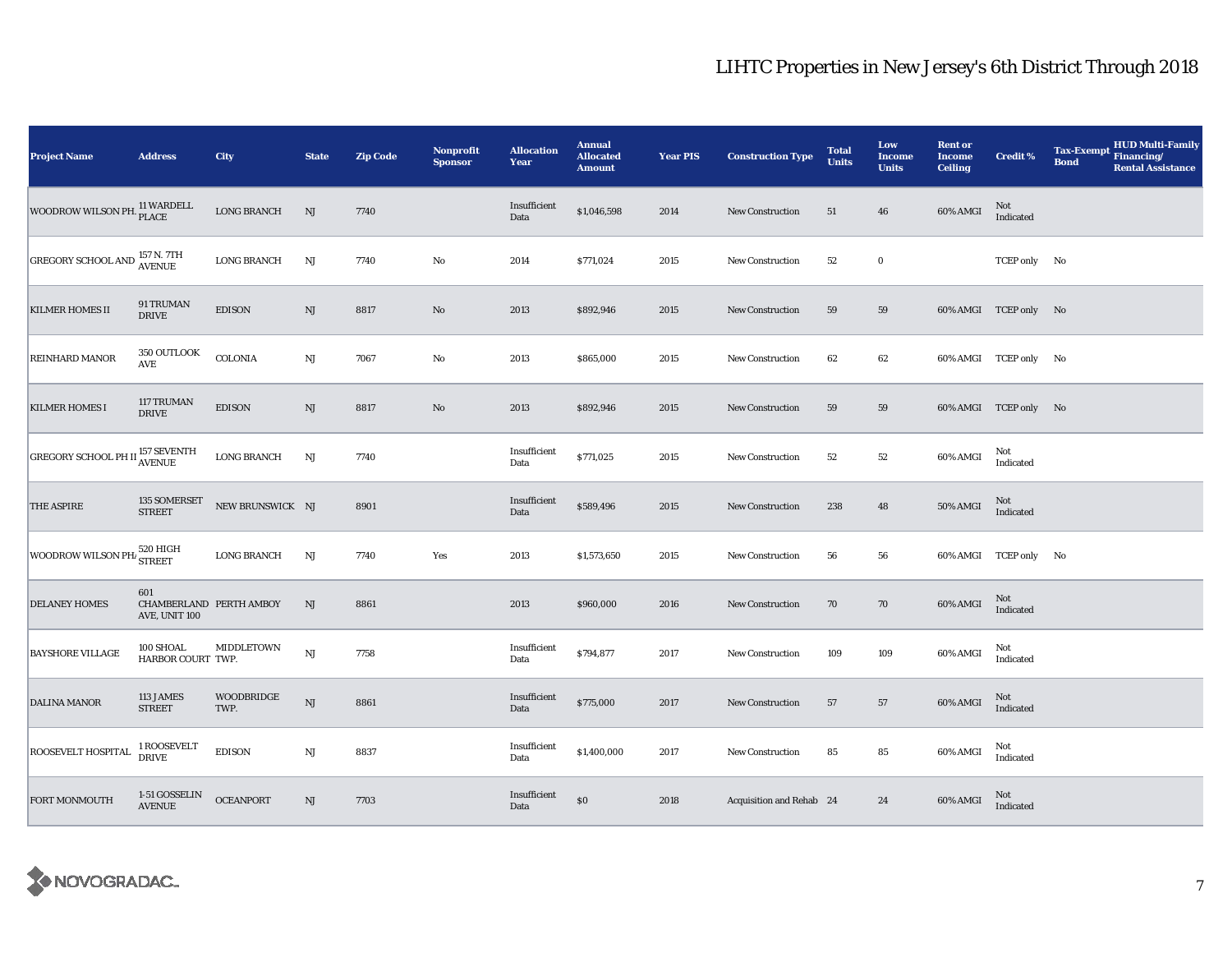| <b>Project Name</b>                                                     | <b>Address</b>                                  | City                      | <b>State</b> | <b>Zip Code</b> | <b>Nonprofit</b><br><b>Sponsor</b> | <b>Allocation</b><br>Year | <b>Annual</b><br><b>Allocated</b><br><b>Amount</b> | <b>Year PIS</b> | <b>Construction Type</b> | <b>Total</b><br><b>Units</b> | Low<br><b>Income</b><br><b>Units</b> | <b>Rent or</b><br><b>Income</b><br><b>Ceiling</b> | Credit %              | <b>HUD Multi-Family</b><br><b>Tax-Exempt</b><br>Financing/<br><b>Bond</b><br><b>Rental Assistance</b> |
|-------------------------------------------------------------------------|-------------------------------------------------|---------------------------|--------------|-----------------|------------------------------------|---------------------------|----------------------------------------------------|-----------------|--------------------------|------------------------------|--------------------------------------|---------------------------------------------------|-----------------------|-------------------------------------------------------------------------------------------------------|
| WOODROW WILSON PH. <sup>11</sup> WARDELL                                |                                                 | <b>LONG BRANCH</b>        | NJ           | 7740            |                                    | Insufficient<br>Data      | \$1,046,598                                        | 2014            | <b>New Construction</b>  | 51                           | 46                                   | 60% AMGI                                          | Not<br>Indicated      |                                                                                                       |
| <b>GREGORY SCHOOL AND 157 N. 7TH</b>                                    |                                                 | <b>LONG BRANCH</b>        | NJ           | 7740            | No                                 | 2014                      | \$771,024                                          | 2015            | <b>New Construction</b>  | $^{\rm 52}$                  | $\bf{0}$                             |                                                   | TCEP only No          |                                                                                                       |
| KILMER HOMES II                                                         | 91 TRUMAN<br><b>DRIVE</b>                       | <b>EDISON</b>             | NJ           | 8817            | $\mathbf{N}\mathbf{o}$             | 2013                      | \$892,946                                          | 2015            | New Construction         | 59                           | 59                                   |                                                   | 60% AMGI TCEP only No |                                                                                                       |
| REINHARD MANOR                                                          | 350 OUTLOOK<br>$\operatorname{\mathbf{AVE}}$    | <b>COLONIA</b>            | NJ           | 7067            | No                                 | 2013                      | \$865,000                                          | 2015            | <b>New Construction</b>  | 62                           | 62                                   |                                                   | 60% AMGI TCEP only No |                                                                                                       |
| <b>KILMER HOMES I</b>                                                   | 117 TRUMAN<br><b>DRIVE</b>                      | <b>EDISON</b>             | NJ           | 8817            | $\rm No$                           | 2013                      | \$892,946                                          | 2015            | <b>New Construction</b>  | 59                           | 59                                   |                                                   | 60% AMGI TCEP only No |                                                                                                       |
| <b>GREGORY SCHOOL PH II <math>_{\text{AVENUE}}^{157}</math> SEVENTH</b> |                                                 | <b>LONG BRANCH</b>        | $\rm{NJ}$    | 7740            |                                    | Insufficient<br>Data      | \$771,025                                          | 2015            | <b>New Construction</b>  | 52                           | 52                                   | 60% AMGI                                          | Not<br>Indicated      |                                                                                                       |
| THE ASPIRE                                                              | 135 SOMERSET<br><b>STREET</b>                   | NEW BRUNSWICK NJ          |              | 8901            |                                    | Insufficient<br>Data      | \$589,496                                          | 2015            | <b>New Construction</b>  | 238                          | 48                                   | <b>50% AMGI</b>                                   | Not<br>Indicated      |                                                                                                       |
| WOODROW WILSON PH <sub>1</sub> 520 HIGH                                 |                                                 | <b>LONG BRANCH</b>        | NJ           | 7740            | Yes                                | 2013                      | \$1,573,650                                        | 2015            | <b>New Construction</b>  | 56                           | 56                                   |                                                   | 60% AMGI TCEP only No |                                                                                                       |
| <b>DELANEY HOMES</b>                                                    | 601<br>CHAMBERLAND PERTH AMBOY<br>AVE, UNIT 100 |                           | NJ           | 8861            |                                    | 2013                      | \$960,000                                          | 2016            | New Construction         | 70                           | 70                                   | 60% AMGI                                          | Not<br>Indicated      |                                                                                                       |
| <b>BAYSHORE VILLAGE</b>                                                 | 100 SHOAL<br>HARBOR COURT TWP.                  | MIDDLETOWN                | NJ           | 7758            |                                    | Insufficient<br>Data      | \$794,877                                          | 2017            | <b>New Construction</b>  | 109                          | 109                                  | 60% AMGI                                          | Not<br>Indicated      |                                                                                                       |
| DALINA MANOR                                                            | 113 JAMES<br><b>STREET</b>                      | <b>WOODBRIDGE</b><br>TWP. | NJ           | 8861            |                                    | Insufficient<br>Data      | \$775,000                                          | 2017            | <b>New Construction</b>  | 57                           | 57                                   | 60% AMGI                                          | Not<br>Indicated      |                                                                                                       |
| ROOSEVELT HOSPITAL                                                      | 1 ROOSEVELT<br>DRIVE                            | <b>EDISON</b>             | NJ           | 8837            |                                    | Insufficient<br>Data      | \$1,400,000                                        | 2017            | <b>New Construction</b>  | 85                           | 85                                   | 60% AMGI                                          | Not<br>Indicated      |                                                                                                       |
| <b>FORT MONMOUTH</b>                                                    | 1-51 GOSSELIN<br><b>AVENUE</b>                  | <b>OCEANPORT</b>          | NJ           | 7703            |                                    | Insufficient<br>Data      | $\$0$                                              | 2018            | Acquisition and Rehab 24 |                              | 24                                   | 60% AMGI                                          | Not<br>Indicated      |                                                                                                       |